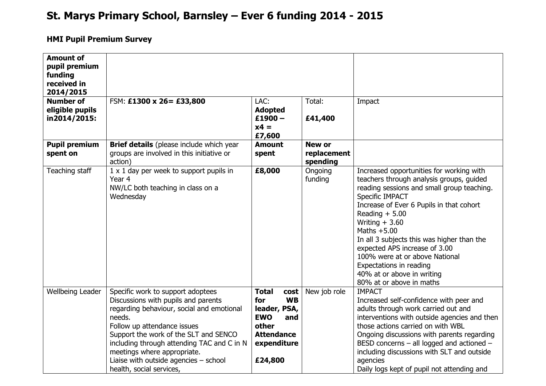## **St. Marys Primary School, Barnsley – Ever 6 funding 2014 - 2015**

## **HMI Pupil Premium Survey**

| <b>Amount of</b><br>pupil premium<br>funding<br>received in<br>2014/2015 |                                                                                                                                                                                                                                                                                                                                                             |                                                                                                                                       |                                          |                                                                                                                                                                                                                                                                                                                                                                                                                                                                 |
|--------------------------------------------------------------------------|-------------------------------------------------------------------------------------------------------------------------------------------------------------------------------------------------------------------------------------------------------------------------------------------------------------------------------------------------------------|---------------------------------------------------------------------------------------------------------------------------------------|------------------------------------------|-----------------------------------------------------------------------------------------------------------------------------------------------------------------------------------------------------------------------------------------------------------------------------------------------------------------------------------------------------------------------------------------------------------------------------------------------------------------|
| <b>Number of</b><br>eligible pupils<br>in2014/2015:                      | FSM: £1300 x 26= £33,800                                                                                                                                                                                                                                                                                                                                    | LAC:<br><b>Adopted</b><br>$£1900 -$<br>$x4 =$<br>£7,600                                                                               | Total:<br>£41,400                        | Impact                                                                                                                                                                                                                                                                                                                                                                                                                                                          |
| <b>Pupil premium</b><br>spent on                                         | <b>Brief details</b> (please include which year<br>groups are involved in this initiative or<br>action)                                                                                                                                                                                                                                                     | <b>Amount</b><br>spent                                                                                                                | <b>New or</b><br>replacement<br>spending |                                                                                                                                                                                                                                                                                                                                                                                                                                                                 |
| Teaching staff                                                           | 1 x 1 day per week to support pupils in<br>Year 4<br>NW/LC both teaching in class on a<br>Wednesday                                                                                                                                                                                                                                                         | £8,000                                                                                                                                | Ongoing<br>funding                       | Increased opportunities for working with<br>teachers through analysis groups, guided<br>reading sessions and small group teaching.<br>Specific IMPACT<br>Increase of Ever 6 Pupils in that cohort<br>Reading $+ 5.00$<br>Writing $+3.60$<br>Maths $+5.00$<br>In all 3 subjects this was higher than the<br>expected APS increase of 3.00<br>100% were at or above National<br>Expectations in reading<br>40% at or above in writing<br>80% at or above in maths |
| Wellbeing Leader                                                         | Specific work to support adoptees<br>Discussions with pupils and parents<br>regarding behaviour, social and emotional<br>needs.<br>Follow up attendance issues<br>Support the work of the SLT and SENCO<br>including through attending TAC and C in N<br>meetings where appropriate.<br>Liaise with outside agencies $-$ school<br>health, social services, | <b>Total</b><br>cost<br><b>WB</b><br>for<br>leader, PSA,<br><b>EWO</b><br>and<br>other<br><b>Attendance</b><br>expenditure<br>£24,800 | New job role                             | <b>IMPACT</b><br>Increased self-confidence with peer and<br>adults through work carried out and<br>interventions with outside agencies and then<br>those actions carried on with WBL<br>Ongoing discussions with parents regarding<br>BESD concerns $-$ all logged and actioned $-$<br>including discussions with SLT and outside<br>agencies<br>Daily logs kept of pupil not attending and                                                                     |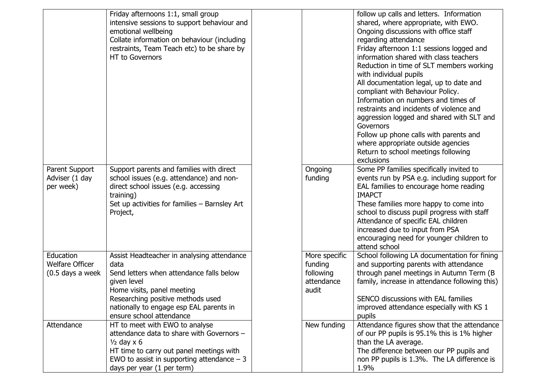|                                                           | Friday afternoons 1:1, small group<br>intensive sessions to support behaviour and<br>emotional wellbeing<br>Collate information on behaviour (including<br>restraints, Team Teach etc) to be share by<br><b>HT</b> to Governors                           |                                                              | follow up calls and letters. Information<br>shared, where appropriate, with EWO.<br>Ongoing discussions with office staff<br>regarding attendance<br>Friday afternoon 1:1 sessions logged and<br>information shared with class teachers<br>Reduction in time of SLT members working<br>with individual pupils<br>All documentation legal, up to date and<br>compliant with Behaviour Policy.<br>Information on numbers and times of<br>restraints and incidents of violence and<br>aggression logged and shared with SLT and |
|-----------------------------------------------------------|-----------------------------------------------------------------------------------------------------------------------------------------------------------------------------------------------------------------------------------------------------------|--------------------------------------------------------------|------------------------------------------------------------------------------------------------------------------------------------------------------------------------------------------------------------------------------------------------------------------------------------------------------------------------------------------------------------------------------------------------------------------------------------------------------------------------------------------------------------------------------|
|                                                           |                                                                                                                                                                                                                                                           |                                                              | Governors<br>Follow up phone calls with parents and<br>where appropriate outside agencies<br>Return to school meetings following<br>exclusions                                                                                                                                                                                                                                                                                                                                                                               |
| Parent Support<br>Adviser (1 day<br>per week)             | Support parents and families with direct<br>school issues (e.g. attendance) and non-<br>direct school issues (e.g. accessing<br>training)<br>Set up activities for families - Barnsley Art<br>Project,                                                    | Ongoing<br>funding                                           | Some PP families specifically invited to<br>events run by PSA e.g. including support for<br>EAL families to encourage home reading<br><b>IMAPCT</b><br>These families more happy to come into<br>school to discuss pupil progress with staff<br>Attendance of specific EAL children<br>increased due to input from PSA<br>encouraging need for younger children to<br>attend school                                                                                                                                          |
| Education<br><b>Welfare Officer</b><br>$(0.5$ days a week | Assist Headteacher in analysing attendance<br>data<br>Send letters when attendance falls below<br>given level<br>Home visits, panel meeting<br>Researching positive methods used<br>nationally to engage esp EAL parents in                               | More specific<br>funding<br>following<br>attendance<br>audit | School following LA documentation for fining<br>and supporting parents with attendance<br>through panel meetings in Autumn Term (B)<br>family, increase in attendance following this)<br>SENCO discussions with EAL families<br>improved attendance especially with KS 1                                                                                                                                                                                                                                                     |
| Attendance                                                | ensure school attendance<br>HT to meet with EWO to analyse<br>attendance data to share with Governors -<br>$\frac{1}{2}$ day x 6<br>HT time to carry out panel meetings with<br>EWO to assist in supporting attendance $-3$<br>days per year (1 per term) | New funding                                                  | pupils<br>Attendance figures show that the attendance<br>of our PP pupils is 95.1% this is 1% higher<br>than the LA average.<br>The difference between our PP pupils and<br>non PP pupils is 1.3%. The LA difference is<br>1.9%                                                                                                                                                                                                                                                                                              |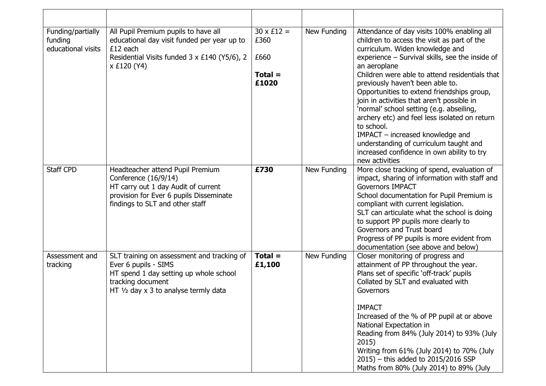| Funding/partially<br>funding<br>educational visits | All Pupil Premium pupils to have all<br>educational day visit funded per year up to<br>$£12$ each<br>Residential Visits funded 3 x £140 (Y5/6), 2<br>x £120 (Y4)              | $30 \times £12 =$<br>£360<br>£660<br>$Total =$<br>£1020 | New Funding | Attendance of day visits 100% enabling all<br>children to access the visit as part of the<br>curriculum. Widen knowledge and<br>experience - Survival skills, see the inside of<br>an aeroplane<br>Children were able to attend residentials that<br>previously haven't been able to.<br>Opportunities to extend friendships group,<br>join in activities that aren't possible in<br>'normal' school setting (e.g. abseiling,<br>archery etc) and feel less isolated on return<br>to school.<br>IMPACT - increased knowledge and<br>understanding of curriculum taught and<br>increased confidence in own ability to try<br>new activities |
|----------------------------------------------------|-------------------------------------------------------------------------------------------------------------------------------------------------------------------------------|---------------------------------------------------------|-------------|--------------------------------------------------------------------------------------------------------------------------------------------------------------------------------------------------------------------------------------------------------------------------------------------------------------------------------------------------------------------------------------------------------------------------------------------------------------------------------------------------------------------------------------------------------------------------------------------------------------------------------------------|
| <b>Staff CPD</b>                                   | Headteacher attend Pupil Premium<br>Conference (16/9/14)<br>HT carry out 1 day Audit of current<br>provision for Ever 6 pupils Disseminate<br>findings to SLT and other staff | £730                                                    | New Funding | More close tracking of spend, evaluation of<br>impact, sharing of information with staff and<br><b>Governors IMPACT</b><br>School documentation for Pupil Premium is<br>compliant with current legislation.<br>SLT can articulate what the school is doing<br>to support PP pupils more clearly to<br>Governors and Trust board<br>Progress of PP pupils is more evident from<br>documentation (see above and below)                                                                                                                                                                                                                       |
| Assessment and<br>tracking                         | SLT training on assessment and tracking of<br>Ever 6 pupils - SIMS<br>HT spend 1 day setting up whole school<br>tracking document<br>HT 1/2 day x 3 to analyse termly data    | $Total =$<br>£1,100                                     | New Funding | Closer monitoring of progress and<br>attainment of PP throughout the year.<br>Plans set of specific 'off-track' pupils<br>Collated by SLT and evaluated with<br>Governors<br><b>IMPACT</b><br>Increased of the % of PP pupil at or above<br>National Expectation in<br>Reading from 84% (July 2014) to 93% (July<br>2015)<br>Writing from 61% (July 2014) to 70% (July<br>$2015$ ) – this added to $2015/2016$ SSP<br>Maths from 80% (July 2014) to 89% (July                                                                                                                                                                              |